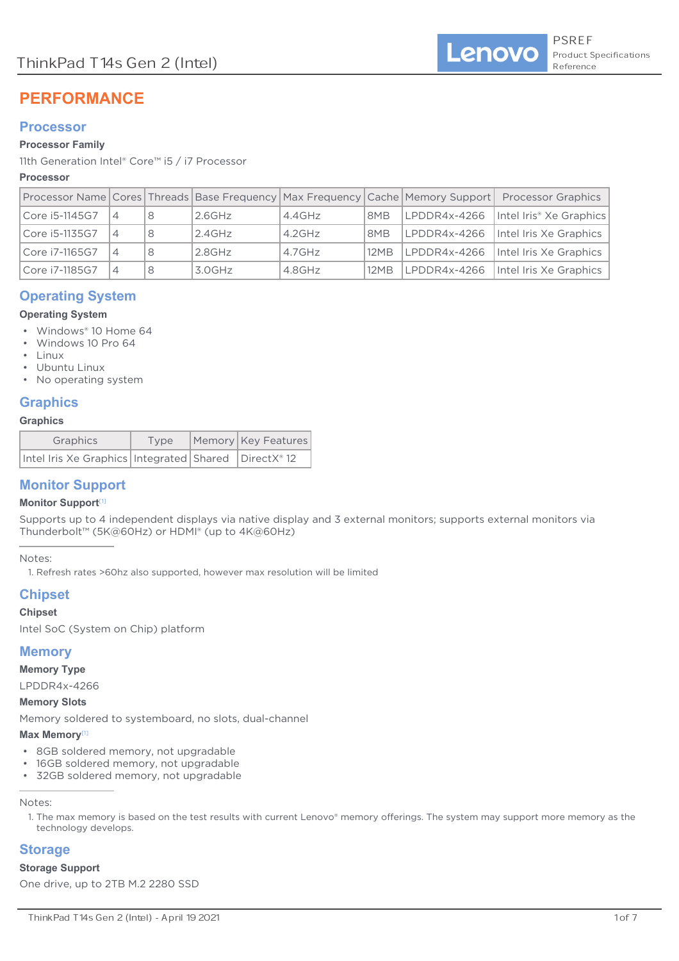# **PERFORMANCE**

# **Processor**

## **Processor Family**

11th Generation Intel® Core™ i5 / i7 Processor

## **Processor**

|                |   |   |           |           |                 |              | Processor Name Cores Threads Base Frequency Max Frequency Cache Memory Support Processor Graphics |
|----------------|---|---|-----------|-----------|-----------------|--------------|---------------------------------------------------------------------------------------------------|
| Core i5-1145G7 | 4 | 8 | $2.6$ GHz | $4.4$ GHz | 8M <sub>B</sub> | LPDDR4x-4266 | Intel Iris <sup>®</sup> Xe Graphics                                                               |
| Core i5-1135G7 | 4 | 8 | $2.4$ GHz | $4.2$ GHz | 8M <sub>B</sub> | LPDDR4x-4266 | Intel Iris Xe Graphics                                                                            |
| Core i7-1165G7 | 4 | 8 | $2.8$ GHz | $4.7$ GHz | 12MB            | LPDDR4x-4266 | Intel Iris Xe Graphics                                                                            |
| Core i7-1185G7 | 4 | 8 | $3.0$ GHz | 4.8GHz    | 12MB            | LPDDR4x-4266 | Intel Iris Xe Graphics                                                                            |

# **Operating System**

## **Operating System**

- Windows® 10 Home 64
- Windows 10 Pro 64
- Linux
- Ubuntu Linux
- No operating system

# **Graphics**

#### **Graphics**

| Graphics                                                   | Type | Memory Key Features |
|------------------------------------------------------------|------|---------------------|
| Intel Iris Xe Graphics   Integrated   Shared   DirectX® 12 |      |                     |

# **Monitor Support**

## **Monitor Support**

Supports up to 4 independent displays via native display and 3 external monitors; supports external monitors via Thunderbolt™ (5K@60Hz) or HDMI® (up to 4K@60Hz)

#### Notes:

1. Refresh rates >60hz also supported, however max resolution will be limited

# **Chipset**

## **Chipset**

Intel SoC (System on Chip) platform

# **Memory**

**Memory Type**

LPDDR4x-4266

#### **Memory Slots**

Memory soldered to systemboard, no slots, dual-channel

## **Max Memory**

- 8GB soldered memory, not upgradable
- 16GB soldered memory, not upgradable
- 32GB soldered memory, not upgradable

Notes:

# **Storage**

## **Storage Support**

One drive, up to 2TB M.2 2280 SSD

<sup>1.</sup> The max memory is based on the test results with current Lenovo® memory offerings. The system may support more memory as the technology develops.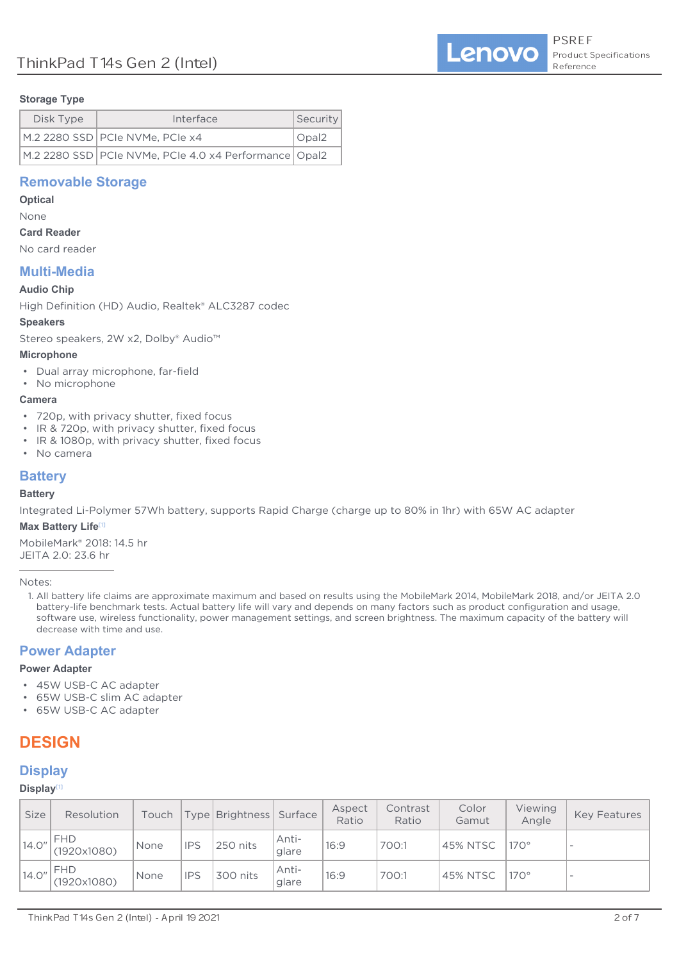## **Storage Type**

| Disk Type | Interface                                               | Security     |
|-----------|---------------------------------------------------------|--------------|
|           | M.2 2280 SSD PCIe NVMe, PCIe x4                         | $\cup$ Opal2 |
|           | M.2 2280 SSD PCIe NVMe, PCIe 4.0 x4 Performance   Opal2 |              |

# **Removable Storage**

## **Optical**

None

## **Card Reader**

No card reader

# **Multi-Media**

## **Audio Chip**

High Definition (HD) Audio, Realtek® ALC3287 codec

## **Speakers**

Stereo speakers, 2W x2, Dolby® Audio<sup>™</sup>

## **Microphone**

- Dual array microphone, far-field
- No microphone

## **Camera**

- 720p, with privacy shutter, fixed focus
- IR & 720p, with privacy shutter, fixed focus
- IR & 1080p, with privacy shutter, fixed focus
- No camera

# **Battery**

# **Battery**

Integrated Li-Polymer 57Wh battery, supports Rapid Charge (charge up to 80% in 1hr) with 65W AC adapter

## **Max Battery Life**[1]

MobileMark® 2018: 14.5 hr JEITA 2.0: 23.6 hr

Notes:

1. All battery life claims are approximate maximum and based on results using the MobileMark 2014, MobileMark 2018, and/or JEITA 2.0 battery-life benchmark tests. Actual battery life will vary and depends on many factors such as product configuration and usage, software use, wireless functionality, power management settings, and screen brightness. The maximum capacity of the battery will decrease with time and use.

# **Power Adapter**

## **Power Adapter**

- 45W USB-C AC adapter
- 65W USB-C slim AC adapter
- 65W USB-C AC adapter

# **DESIGN**

# **Display**

# **Display**

| <b>Size</b> | Resolution                |      |            | Touch   Type   Brightness   Surface |                | Aspect<br>Ratio | Contrast<br>Ratio | Color<br>Gamut  | Viewing<br>Angle | <b>Key Features</b>      |
|-------------|---------------------------|------|------------|-------------------------------------|----------------|-----------------|-------------------|-----------------|------------------|--------------------------|
| 14.0"       | <b>FHD</b><br>(1920x1080) | None | <b>IPS</b> | 250 nits                            | Anti-<br>glare | 16:9            | 700:1             | <b>45% NTSC</b> | $170^\circ$      | $\overline{\phantom{a}}$ |
| 14.0"       | <b>FHD</b><br>(1920x1080) | None | <b>IPS</b> | 300 nits                            | Anti-<br>glare | 16:9            | 700:1             | <b>45% NTSC</b> | $170^\circ$      | $\overline{\phantom{a}}$ |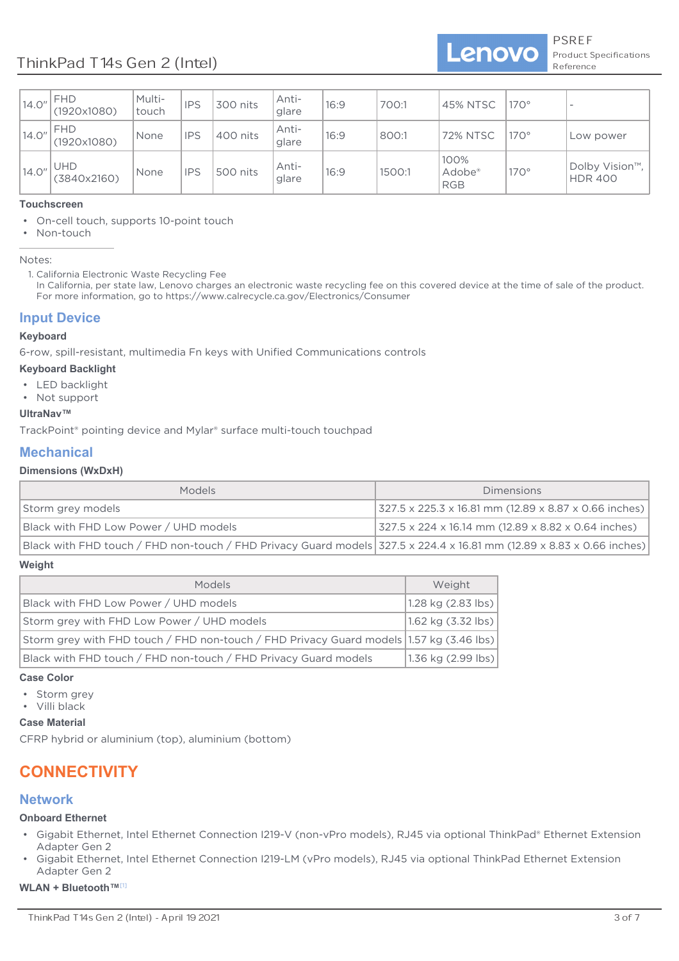| 14.0'' | <b>FHD</b><br>(1920x1080) | Multi-<br>touch | <b>IPS</b> | 300 nits | Anti-<br>glare | 16:9 | 700:1  | 45% NTSC                                 | $170^\circ$ | $\overline{\phantom{a}}$         |
|--------|---------------------------|-----------------|------------|----------|----------------|------|--------|------------------------------------------|-------------|----------------------------------|
| 14.0"  | <b>FHD</b><br>(1920x1080) | None            | <b>IPS</b> | 400 nits | Anti-<br>glare | 16:9 | 800:1  | <b>72% NTSC</b>                          | $170^\circ$ | Low power                        |
| 14.0"  | <b>UHD</b><br>(3840x2160) | None            | <b>IPS</b> | 500 nits | Anti-<br>glare | 16:9 | 1500:1 | 100%<br>Adobe <sup>®</sup><br><b>RGB</b> | $170^\circ$ | Dolby Vision™,<br><b>HDR 400</b> |

# **Touchscreen**

- On-cell touch, supports 10-point touch
- Non-touch

Notes:

1. California Electronic Waste Recycling Fee

In California, per state law, Lenovo charges an electronic waste recycling fee on this covered device at the time of sale of the product. For more information, go to https://www.calrecycle.ca.gov/Electronics/Consumer

# **Input Device**

#### **Keyboard**

6-row, spill-resistant, multimedia Fn keys with Unified Communications controls

#### **Keyboard Backlight**

- I FD backlight
- Not support

## **UltraNav™**

TrackPoint<sup>®</sup> pointing device and Mylar<sup>®</sup> surface multi-touch touchpad

# **Mechanical**

## **Dimensions (WxDxH)**

| <b>Models</b>                                                                                                         | <b>Dimensions</b>                                                          |
|-----------------------------------------------------------------------------------------------------------------------|----------------------------------------------------------------------------|
| Storm grey models                                                                                                     | $ 327.5 \times 225.3 \times 16.81 \text{ mm}$ (12.89 x 8.87 x 0.66 inches) |
| Black with FHD Low Power / UHD models                                                                                 | $327.5 \times 224 \times 16.14$ mm (12.89 x 8.82 x 0.64 inches)            |
| Black with FHD touch / FHD non-touch / FHD Privacy Guard models 327.5 x 224.4 x 16.81 mm (12.89 x 8.83 x 0.66 inches) |                                                                            |

#### **Weight**

| Models                                                                                  | Weight             |
|-----------------------------------------------------------------------------------------|--------------------|
| Black with FHD Low Power / UHD models                                                   | 1.28 kg (2.83 lbs) |
| Storm grey with FHD Low Power / UHD models                                              | 1.62 kg (3.32 lbs) |
| Storm grey with FHD touch / FHD non-touch / FHD Privacy Guard models 1.57 kg (3.46 lbs) |                    |
| Black with FHD touch / FHD non-touch / FHD Privacy Guard models                         | 1.36 kg (2.99 lbs) |

#### **Case Color**

- Storm grey
- Villi black

## **Case Material**

CFRP hybrid or aluminium (top), aluminium (bottom)

# **CONNECTIVITY**

# **Network**

## **Onboard Ethernet**

- Gigabit Ethernet, Intel Ethernet Connection I219-V (non-vPro models), RJ45 via optional ThinkPad® Ethernet Extension Adapter Gen 2
- Gigabit Ethernet, Intel Ethernet Connection I219-LM (vPro models), RJ45 via optional ThinkPad Ethernet Extension Adapter Gen 2  $\bullet$

#### **WLAN + Bluetooth™**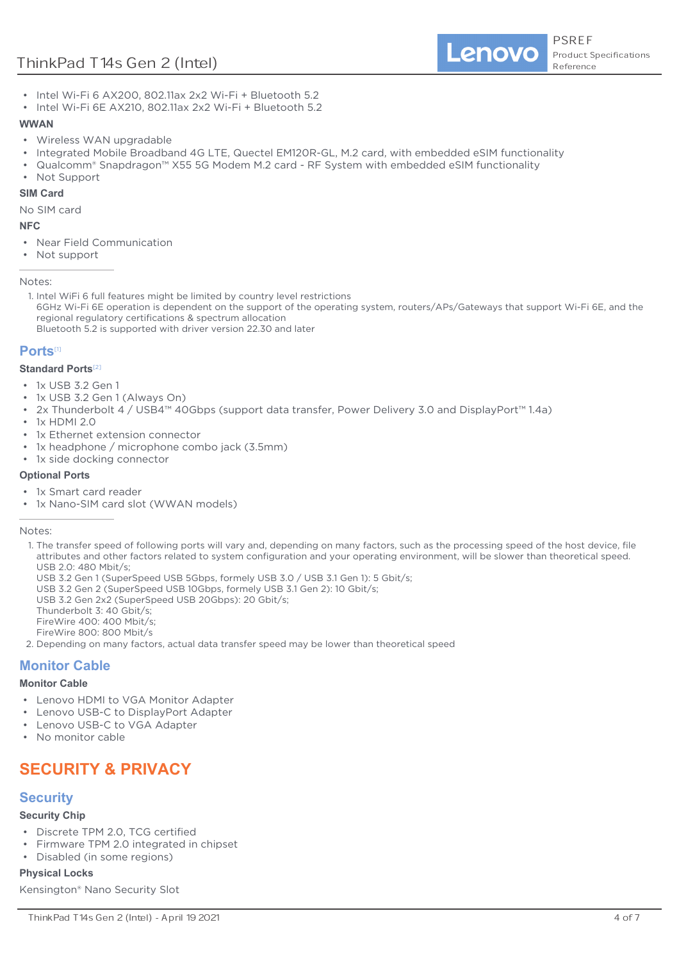# ThinkPad T14s Gen 2 (Intel)

Lenovo

- Intel Wi-Fi 6 AX200, 802.11ax 2x2 Wi-Fi + Bluetooth 5.2
- Intel Wi-Fi 6E AX210, 802.11ax 2x2 Wi-Fi + Bluetooth 5.2

#### **WWAN**

- Wireless WAN upgradable
- Integrated Mobile Broadband 4G LTE, Quectel EM120R-GL, M.2 card, with embedded eSIM functionality
- Qualcomm® Snapdragon™ X55 5G Modem M.2 card RF System with embedded eSIM functionality
- Not Support

#### **SIM Card**

No SIM card

#### **NFC**

- Near Field Communication
- Not support

Notes:

1. Intel WiFi 6 full features might be limited by country level restrictions 6GHz Wi-Fi 6E operation is dependent on the support of the operating system, routers/APs/Gateways that support Wi-Fi 6E, and the regional regulatory certifications & spectrum allocation Bluetooth 5.2 is supported with driver version 22.30 and later

## **Ports**

#### **Standard Ports**<sup>[2]</sup>

- 1x USB 3.2 Gen 1
- 1x USB 3.2 Gen 1 (Always On)
- 2x Thunderbolt 4 / USB4™ 40Gbps (support data transfer, Power Delivery 3.0 and DisplayPort™ 1.4a)
- 1x HDMI 2.0
- 1x Ethernet extension connector
- 1x headphone / microphone combo jack (3.5mm)
- 1x side docking connector

#### **Optional Ports**

- 1x Smart card reader
- 1x Nano-SIM card slot (WWAN models)

Notes:

- 1. The transfer speed of following ports will vary and, depending on many factors, such as the processing speed of the host device, file attributes and other factors related to system configuration and your operating environment, will be slower than theoretical speed. USB 2.0: 480 Mbit/s;
- USB 3.2 Gen 1 (SuperSpeed USB 5Gbps, formely USB 3.0 / USB 3.1 Gen 1): 5 Gbit/s;
- USB 3.2 Gen 2 (SuperSpeed USB 10Gbps, formely USB 3.1 Gen 2): 10 Gbit/s;
- USB 3.2 Gen 2x2 (SuperSpeed USB 20Gbps): 20 Gbit/s;
- Thunderbolt 3: 40 Gbit/s;

FireWire 400: 400 Mbit/s:

EireWire 800: 800 Mbit/s

2. Depending on many factors, actual data transfer speed may be lower than theoretical speed

# **Monitor Cable**

#### **Monitor Cable**

- Lenovo HDMI to VGA Monitor Adapter
- Lenovo USB-C to DisplayPort Adapter
- Lenovo USB-C to VGA Adapter
- No monitor cable

# **SECURITY & PRIVACY**

# **Security**

#### **Security Chip**

- Discrete TPM 2.0, TCG certified
- Firmware TPM 2.0 integrated in chipset
- Disabled (in some regions)

#### **Physical Locks**

Kensington® Nano Security Slot